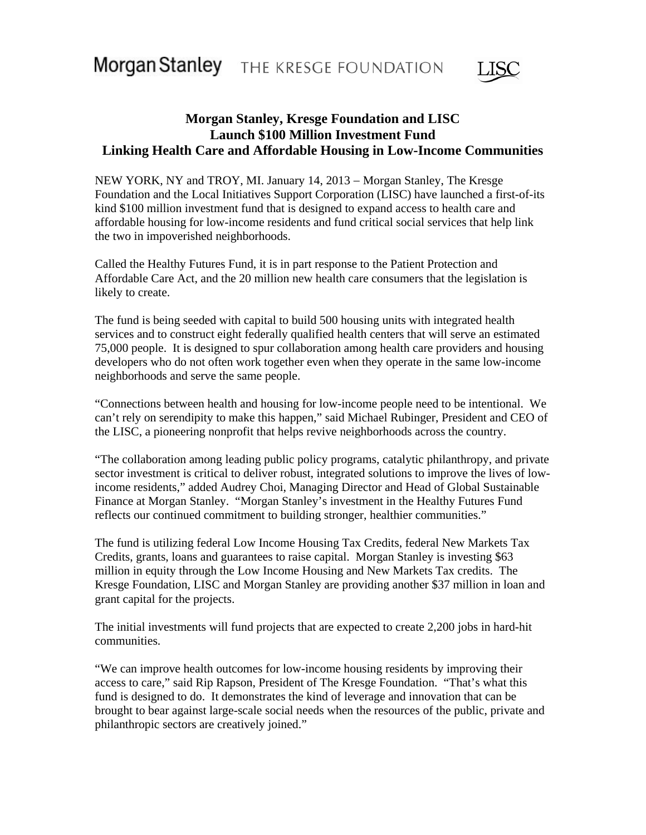# Morgan Stanley THE KRESGE FOUNDATION



## **Morgan Stanley, Kresge Foundation and LISC Launch \$100 Million Investment Fund Linking Health Care and Affordable Housing in Low-Income Communities**

NEW YORK, NY and TROY, MI. January 14, 2013 – Morgan Stanley, The Kresge Foundation and the Local Initiatives Support Corporation (LISC) have launched a first-of-its kind \$100 million investment fund that is designed to expand access to health care and affordable housing for low-income residents and fund critical social services that help link the two in impoverished neighborhoods.

Called the Healthy Futures Fund, it is in part response to the Patient Protection and Affordable Care Act, and the 20 million new health care consumers that the legislation is likely to create.

The fund is being seeded with capital to build 500 housing units with integrated health services and to construct eight federally qualified health centers that will serve an estimated 75,000 people. It is designed to spur collaboration among health care providers and housing developers who do not often work together even when they operate in the same low-income neighborhoods and serve the same people.

"Connections between health and housing for low-income people need to be intentional. We can't rely on serendipity to make this happen," said Michael Rubinger, President and CEO of the LISC, a pioneering nonprofit that helps revive neighborhoods across the country.

"The collaboration among leading public policy programs, catalytic philanthropy, and private sector investment is critical to deliver robust, integrated solutions to improve the lives of lowincome residents," added Audrey Choi, Managing Director and Head of Global Sustainable Finance at Morgan Stanley. "Morgan Stanley's investment in the Healthy Futures Fund reflects our continued commitment to building stronger, healthier communities."

The fund is utilizing federal Low Income Housing Tax Credits, federal New Markets Tax Credits, grants, loans and guarantees to raise capital. Morgan Stanley is investing \$63 million in equity through the Low Income Housing and New Markets Tax credits. The Kresge Foundation, LISC and Morgan Stanley are providing another \$37 million in loan and grant capital for the projects.

The initial investments will fund projects that are expected to create 2,200 jobs in hard-hit communities.

"We can improve health outcomes for low-income housing residents by improving their access to care," said Rip Rapson, President of The Kresge Foundation. "That's what this fund is designed to do. It demonstrates the kind of leverage and innovation that can be brought to bear against large-scale social needs when the resources of the public, private and philanthropic sectors are creatively joined."